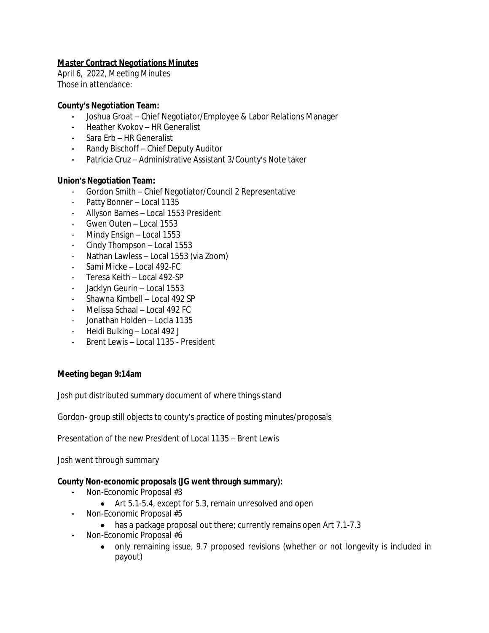# *Master Contract Negotiations Minutes*

April 6, 2022, Meeting Minutes Those in attendance:

## **County's Negotiation Team:**

- **-** Joshua Groat Chief Negotiator/Employee & Labor Relations Manager
- **-** Heather Kvokov HR Generalist
- **-** Sara Erb HR Generalist
- **-** Randy Bischoff Chief Deputy Auditor
- **-** Patricia Cruz Administrative Assistant 3/County's Note taker

## **Union's Negotiation Team:**

- Gordon Smith Chief Negotiator/Council 2 Representative
- Patty Bonner Local 1135
- Allyson Barnes Local 1553 President
- Gwen Outen Local 1553
- Mindy Ensign Local 1553
- Cindy Thompson Local 1553
- Nathan Lawless Local 1553 (via Zoom)
- Sami Micke Local 492-FC
- Teresa Keith Local 492-SP
- Jacklyn Geurin Local 1553
- Shawna Kimbell Local 492 SP
- Melissa Schaal Local 492 FC
- Jonathan Holden Locla 1135
- Heidi Bulking Local 492 J
- Brent Lewis Local 1135 President

## **Meeting began 9:14am**

Josh put distributed summary document of where things stand

Gordon- group still objects to county's practice of posting minutes/proposals

Presentation of the new President of Local 1135 – Brent Lewis

Josh went through summary

## **County Non-economic proposals (JG went through summary):**

- **-** Non-Economic Proposal #3
	- Art 5.1-5.4, except for 5.3, remain unresolved and open
- **-** Non-Economic Proposal #5
	- has a package proposal out there; currently remains open Art 7.1-7.3
- **-** Non-Economic Proposal #6
	- only remaining issue, 9.7 proposed revisions (whether or not longevity is included in payout)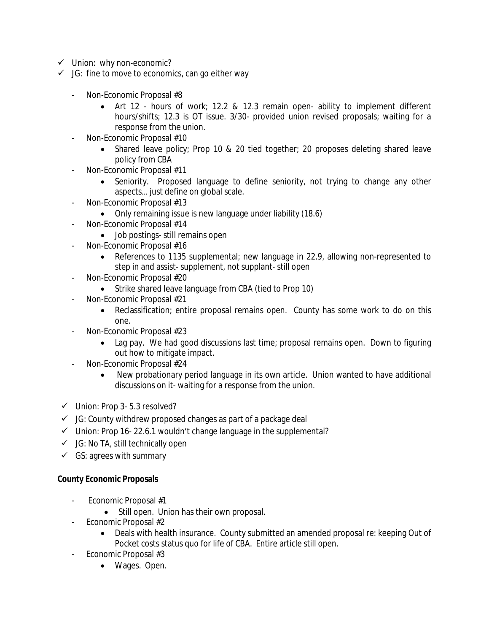- $\checkmark$  Union: why non-economic?
- $\checkmark$  JG: fine to move to economics, can go either way
	- Non-Economic Proposal #8
		- Art 12 hours of work; 12.2 & 12.3 remain open- ability to implement different hours/shifts; 12.3 is OT issue. 3/30- provided union revised proposals; waiting for a response from the union.
	- Non-Economic Proposal #10
		- Shared leave policy; Prop 10 & 20 tied together; 20 proposes deleting shared leave policy from CBA
	- Non-Economic Proposal #11
		- Seniority. Proposed language to define seniority, not trying to change any other aspects… just define on global scale.
	- Non-Economic Proposal #13
		- Only remaining issue is new language under liability (18.6)
	- Non-Economic Proposal #14
		- Job postings- still remains open
	- Non-Economic Proposal #16
		- References to 1135 supplemental; new language in 22.9, allowing non-represented to step in and assist- supplement, not supplant- still open
	- Non-Economic Proposal #20
		- Strike shared leave language from CBA (tied to Prop 10)
	- Non-Economic Proposal #21
		- Reclassification; entire proposal remains open. County has some work to do on this one.
	- Non-Economic Proposal #23
		- Lag pay. We had good discussions last time; proposal remains open. Down to figuring out how to mitigate impact.
	- Non-Economic Proposal #24
		- New probationary period language in its own article. Union wanted to have additional discussions on it- waiting for a response from the union.
- $\checkmark$  Union: Prop 3-5.3 resolved?
- $\checkmark$  JG: County withdrew proposed changes as part of a package deal
- $\checkmark$  Union: Prop 16-22.6.1 wouldn't change language in the supplemental?
- $\checkmark$  JG: No TA, still technically open
- $\checkmark$  GS: agrees with summary

## **County Economic Proposals**

- Economic Proposal #1
	- Still open. Union has their own proposal.
- Economic Proposal #2
	- Deals with health insurance. County submitted an amended proposal re: keeping Out of Pocket costs status quo for life of CBA. Entire article still open.
- Economic Proposal #3
	- Wages. Open.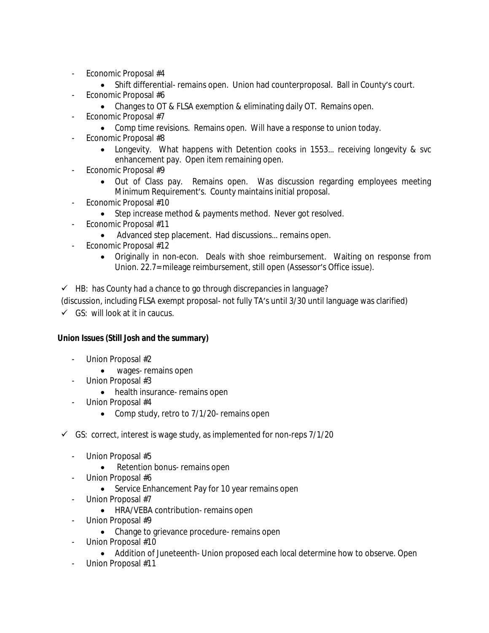- Economic Proposal #4
	- Shift differential- remains open. Union had counterproposal. Ball in County's court.
- Economic Proposal #6
	- Changes to OT & FLSA exemption & eliminating daily OT. Remains open.
- Economic Proposal #7
	- Comp time revisions. Remains open. Will have a response to union today.
- Economic Proposal #8
	- Longevity. What happens with Detention cooks in 1553… receiving longevity & svc enhancement pay. Open item remaining open.
- Economic Proposal #9
	- Out of Class pay. Remains open. Was discussion regarding employees meeting Minimum Requirement's. County maintains initial proposal.
- Economic Proposal #10
	- Step increase method & payments method. Never got resolved.
- Economic Proposal #11
	- Advanced step placement. Had discussions… remains open.
- Economic Proposal #12
	- Originally in non-econ. Deals with shoe reimbursement. Waiting on response from Union. 22.7= mileage reimbursement, still open (Assessor's Office issue).

 $\checkmark$  HB: has County had a chance to go through discrepancies in language?

(discussion, including FLSA exempt proposal- not fully TA's until 3/30 until language was clarified)

 $\checkmark$  GS: will look at it in caucus.

# **Union Issues (Still Josh and the summary)**

- Union Proposal #2
	- wages- remains open
- Union Proposal #3
	- health insurance- remains open
- Union Proposal #4
	- Comp study, retro to 7/1/20- remains open
- $\checkmark$  GS: correct, interest is wage study, as implemented for non-reps 7/1/20
	- Union Proposal #5
		- Retention bonus- remains open
	- Union Proposal #6
		- Service Enhancement Pay for 10 year remains open
	- Union Proposal #7
		- HRA/VEBA contribution- remains open
	- Union Proposal #9
		- Change to grievance procedure- remains open
	- Union Proposal #10
		- Addition of Juneteenth- Union proposed each local determine how to observe. Open
		- Union Proposal #11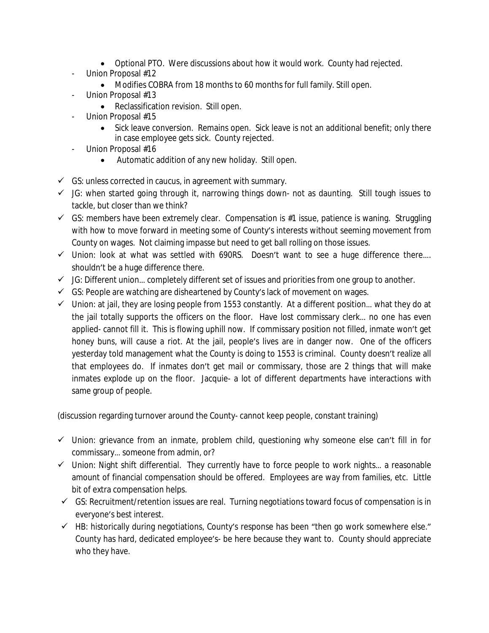- Optional PTO. Were discussions about how it would work. County had rejected.
- Union Proposal #12
	- Modifies COBRA from 18 months to 60 months for full family. Still open.
- Union Proposal #13
	- Reclassification revision. Still open.
- Union Proposal #15
	- Sick leave conversion. Remains open. Sick leave is not an additional benefit; only there in case employee gets sick. County rejected.
- Union Proposal #16
	- Automatic addition of any new holiday. Still open.
- $\checkmark$  GS: unless corrected in caucus, in agreement with summary.
- $\checkmark$  JG: when started going through it, narrowing things down- not as daunting. Still tough issues to tackle, but closer than we think?
- $\checkmark$  GS: members have been extremely clear. Compensation is #1 issue, patience is waning. Struggling with how to move forward in meeting some of County's interests without seeming movement from County on wages. Not claiming impasse but need to get ball rolling on those issues.
- $\checkmark$  Union: look at what was settled with 690RS. Doesn't want to see a huge difference there.... shouldn't be a huge difference there.
- $\checkmark$  JG: Different union... completely different set of issues and priorities from one group to another.
- $\checkmark$  GS: People are watching are disheartened by County's lack of movement on wages.
- $\checkmark$  Union: at jail, they are losing people from 1553 constantly. At a different position... what they do at the jail totally supports the officers on the floor. Have lost commissary clerk… no one has even applied- cannot fill it. This is flowing uphill now. If commissary position not filled, inmate won't get honey buns, will cause a riot. At the jail, people's lives are in danger now. One of the officers yesterday told management what the County is doing to 1553 is criminal. County doesn't realize all that employees do. If inmates don't get mail or commissary, those are 2 things that will make inmates explode up on the floor. Jacquie- a lot of different departments have interactions with same group of people.

(discussion regarding turnover around the County- cannot keep people, constant training)

- $\checkmark$  Union: grievance from an inmate, problem child, questioning why someone else can't fill in for commissary… someone from admin, or?
- $\checkmark$  Union: Night shift differential. They currently have to force people to work nights... a reasonable amount of financial compensation should be offered. Employees are way from families, etc. Little bit of extra compensation helps.
- $\checkmark$  GS: Recruitment/retention issues are real. Turning negotiations toward focus of compensation is in everyone's best interest.
- $\checkmark$  HB: historically during negotiations, County's response has been "then go work somewhere else." County has hard, dedicated employee's- be here because they want to. County should appreciate who they have.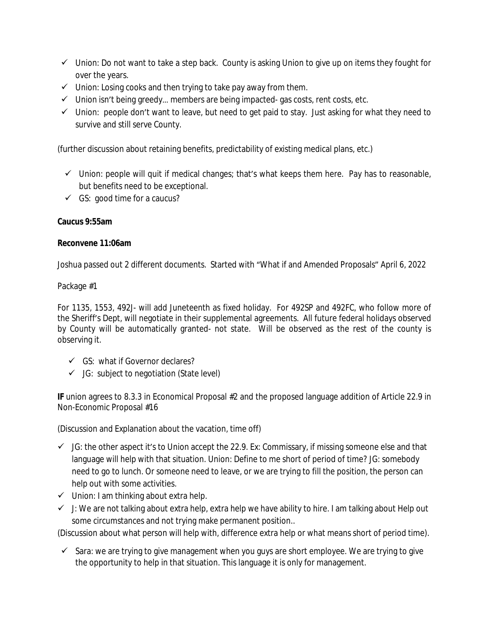- $\checkmark$  Union: Do not want to take a step back. County is asking Union to give up on items they fought for over the years.
- $\checkmark$  Union: Losing cooks and then trying to take pay away from them.
- $\checkmark$  Union isn't being greedy... members are being impacted-gas costs, rent costs, etc.
- $\checkmark$  Union: people don't want to leave, but need to get paid to stay. Just asking for what they need to survive and still serve County.

(further discussion about retaining benefits, predictability of existing medical plans, etc.)

- $\checkmark$  Union: people will quit if medical changes; that's what keeps them here. Pay has to reasonable, but benefits need to be exceptional.
- $\checkmark$  GS: good time for a caucus?

# **Caucus 9:55am**

## **Reconvene 11:06am**

Joshua passed out 2 different documents. Started with "What if and Amended Proposals" April 6, 2022

# Package #1

For 1135, 1553, 492J- will add Juneteenth as fixed holiday. For 492SP and 492FC, who follow more of the Sheriff's Dept, will negotiate in their supplemental agreements. All future federal holidays observed by County will be automatically granted- not state. Will be observed as the rest of the county is observing it.

- GS: what if Governor declares?
- $\checkmark$  JG: subject to negotiation (State level)

**IF** union agrees to 8.3.3 in Economical Proposal #2 and the proposed language addition of Article 22.9 in Non-Economic Proposal #16

(Discussion and Explanation about the vacation, time off)

- $\checkmark$  JG: the other aspect it's to Union accept the 22.9. Ex: Commissary, if missing someone else and that language will help with that situation. Union: Define to me short of period of time? JG: somebody need to go to lunch. Or someone need to leave, or we are trying to fill the position, the person can help out with some activities.
- $\checkmark$  Union: I am thinking about extra help.
- $\checkmark$  J: We are not talking about extra help, extra help we have ability to hire. I am talking about Help out some circumstances and not trying make permanent position..

(Discussion about what person will help with, difference extra help or what means short of period time).

 $\checkmark$  Sara: we are trying to give management when you guys are short employee. We are trying to give the opportunity to help in that situation. This language it is only for management.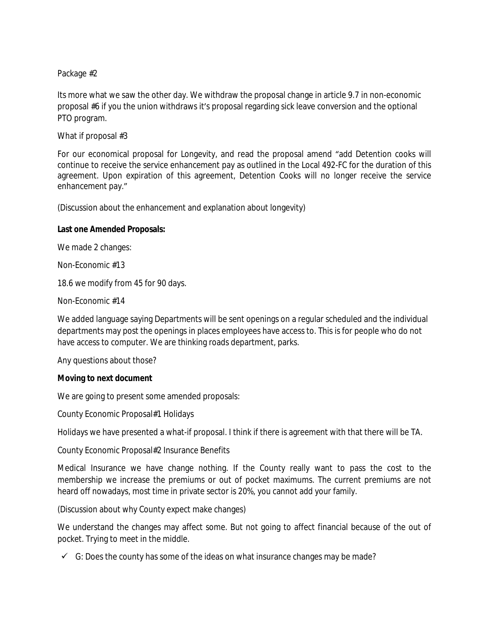## Package #2

Its more what we saw the other day. We withdraw the proposal change in article 9.7 in non-economic proposal #6 if you the union withdraws it's proposal regarding sick leave conversion and the optional PTO program.

What if proposal #3

For our economical proposal for Longevity, and read the proposal amend "add Detention cooks will continue to receive the service enhancement pay as outlined in the Local 492-FC for the duration of this agreement. Upon expiration of this agreement, Detention Cooks will no longer receive the service enhancement pay."

(Discussion about the enhancement and explanation about longevity)

## **Last one Amended Proposals:**

We made 2 changes:

Non-Economic #13

18.6 we modify from 45 for 90 days.

Non-Economic #14

We added language saying Departments will be sent openings on a regular scheduled and the individual departments may post the openings in places employees have access to. This is for people who do not have access to computer. We are thinking roads department, parks.

Any questions about those?

#### **Moving to next document**

We are going to present some amended proposals:

County Economic Proposal#1 Holidays

Holidays we have presented a what-if proposal. I think if there is agreement with that there will be TA.

County Economic Proposal#2 Insurance Benefits

Medical Insurance we have change nothing. If the County really want to pass the cost to the membership we increase the premiums or out of pocket maximums. The current premiums are not heard off nowadays, most time in private sector is 20%, you cannot add your family.

(Discussion about why County expect make changes)

We understand the changes may affect some. But not going to affect financial because of the out of pocket. Trying to meet in the middle.

 $\checkmark$  G: Does the county has some of the ideas on what insurance changes may be made?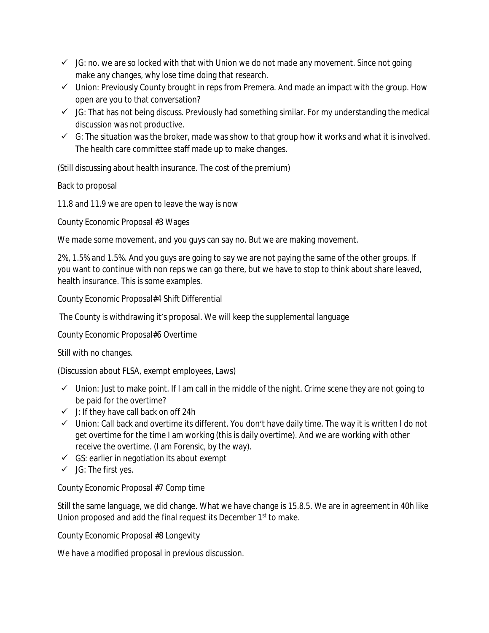- $\checkmark$  JG: no. we are so locked with that with Union we do not made any movement. Since not going make any changes, why lose time doing that research.
- $\checkmark$  Union: Previously County brought in reps from Premera. And made an impact with the group. How open are you to that conversation?
- $\checkmark$  JG: That has not being discuss. Previously had something similar. For my understanding the medical discussion was not productive.
- $\checkmark$  G: The situation was the broker, made was show to that group how it works and what it is involved. The health care committee staff made up to make changes.

(Still discussing about health insurance. The cost of the premium)

Back to proposal

11.8 and 11.9 we are open to leave the way is now

County Economic Proposal #3 Wages

We made some movement, and you guys can say no. But we are making movement.

2%, 1.5% and 1.5%. And you guys are going to say we are not paying the same of the other groups. If you want to continue with non reps we can go there, but we have to stop to think about share leaved, health insurance. This is some examples.

County Economic Proposal#4 Shift Differential

The County is withdrawing it's proposal. We will keep the supplemental language

County Economic Proposal#6 Overtime

Still with no changes.

(Discussion about FLSA, exempt employees, Laws)

- $\checkmark$  Union: Just to make point. If I am call in the middle of the night. Crime scene they are not going to be paid for the overtime?
- $\checkmark$  J: If they have call back on off 24h
- $\checkmark$  Union: Call back and overtime its different. You don't have daily time. The way it is written I do not get overtime for the time I am working (this is daily overtime). And we are working with other receive the overtime. (I am Forensic, by the way).
- $\checkmark$  GS: earlier in negotiation its about exempt
- $\checkmark$  JG: The first yes.

County Economic Proposal #7 Comp time

Still the same language, we did change. What we have change is 15.8.5. We are in agreement in 40h like Union proposed and add the final request its December 1<sup>st</sup> to make.

County Economic Proposal #8 Longevity

We have a modified proposal in previous discussion.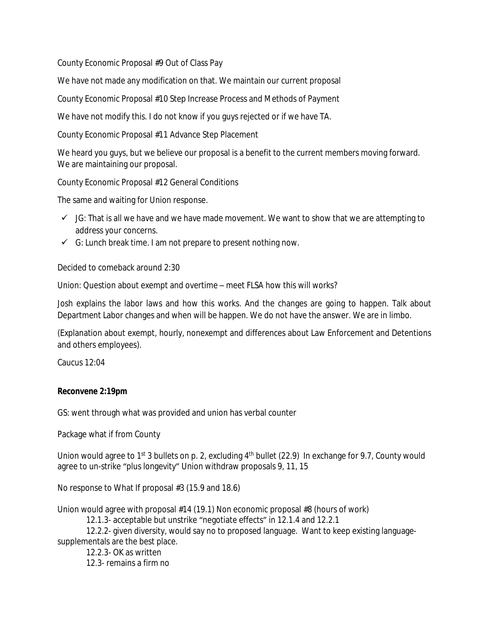County Economic Proposal #9 Out of Class Pay

We have not made any modification on that. We maintain our current proposal

County Economic Proposal #10 Step Increase Process and Methods of Payment

We have not modify this. I do not know if you guys rejected or if we have TA.

County Economic Proposal #11 Advance Step Placement

We heard you guys, but we believe our proposal is a benefit to the current members moving forward. We are maintaining our proposal.

County Economic Proposal #12 General Conditions

The same and waiting for Union response.

- $\checkmark$  JG: That is all we have and we have made movement. We want to show that we are attempting to address your concerns.
- $\checkmark$  G: Lunch break time. I am not prepare to present nothing now.

Decided to comeback around 2:30

Union: Question about exempt and overtime – meet FLSA how this will works?

Josh explains the labor laws and how this works. And the changes are going to happen. Talk about Department Labor changes and when will be happen. We do not have the answer. We are in limbo.

(Explanation about exempt, hourly, nonexempt and differences about Law Enforcement and Detentions and others employees).

Caucus 12:04

## **Reconvene 2:19pm**

GS: went through what was provided and union has verbal counter

Package what if from County

Union would agree to 1<sup>st</sup> 3 bullets on p. 2, excluding  $4<sup>th</sup>$  bullet (22.9) In exchange for 9.7, County would agree to un-strike "plus longevity" Union withdraw proposals 9, 11, 15

No response to What If proposal #3 (15.9 and 18.6)

Union would agree with proposal #14 (19.1) Non economic proposal #8 (hours of work)

12.1.3- acceptable but unstrike "negotiate effects" in 12.1.4 and 12.2.1

12.2.2- given diversity, would say no to proposed language. Want to keep existing languagesupplementals are the best place.

12.2.3- OK as written 12.3- remains a firm no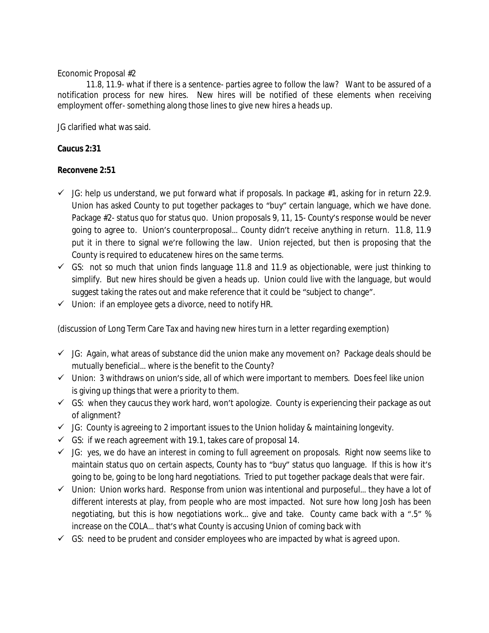## Economic Proposal #2

11.8, 11.9- what if there is a sentence- parties agree to follow the law? Want to be assured of a notification process for new hires. New hires will be notified of these elements when receiving employment offer- something along those lines to give new hires a heads up.

JG clarified what was said.

## **Caucus 2:31**

## **Reconvene 2:51**

- $\checkmark$  JG: help us understand, we put forward what if proposals. In package #1, asking for in return 22.9. Union has asked County to put together packages to "buy" certain language, which we have done. Package #2- status quo for status quo. Union proposals 9, 11, 15- County's response would be never going to agree to. Union's counterproposal… County didn't receive anything in return. 11.8, 11.9 put it in there to signal we're following the law. Union rejected, but then is proposing that the County is required to educatenew hires on the same terms.
- $\checkmark$  GS: not so much that union finds language 11.8 and 11.9 as objectionable, were just thinking to simplify. But new hires should be given a heads up. Union could live with the language, but would suggest taking the rates out and make reference that it could be "subject to change".
- $\checkmark$  Union: if an employee gets a divorce, need to notify HR.

(discussion of Long Term Care Tax and having new hires turn in a letter regarding exemption)

- $\checkmark$  JG: Again, what areas of substance did the union make any movement on? Package deals should be mutually beneficial… where is the benefit to the County?
- $\checkmark$  Union: 3 withdraws on union's side, all of which were important to members. Does feel like union is giving up things that were a priority to them.
- $\checkmark$  GS: when they caucus they work hard, won't apologize. County is experiencing their package as out of alignment?
- $\checkmark$  JG: County is agreeing to 2 important issues to the Union holiday & maintaining longevity.
- $\checkmark$  GS: if we reach agreement with 19.1, takes care of proposal 14.
- $\checkmark$  JG: yes, we do have an interest in coming to full agreement on proposals. Right now seems like to maintain status quo on certain aspects, County has to "buy" status quo language. If this is how it's going to be, going to be long hard negotiations. Tried to put together package deals that were fair.
- $\checkmark$  Union: Union works hard. Response from union was intentional and purposeful... they have a lot of different interests at play, from people who are most impacted. Not sure how long Josh has been negotiating, but this is how negotiations work… give and take. County came back with a ".5" % increase on the COLA… that's what County is accusing Union of coming back with
- $\checkmark$  GS: need to be prudent and consider employees who are impacted by what is agreed upon.